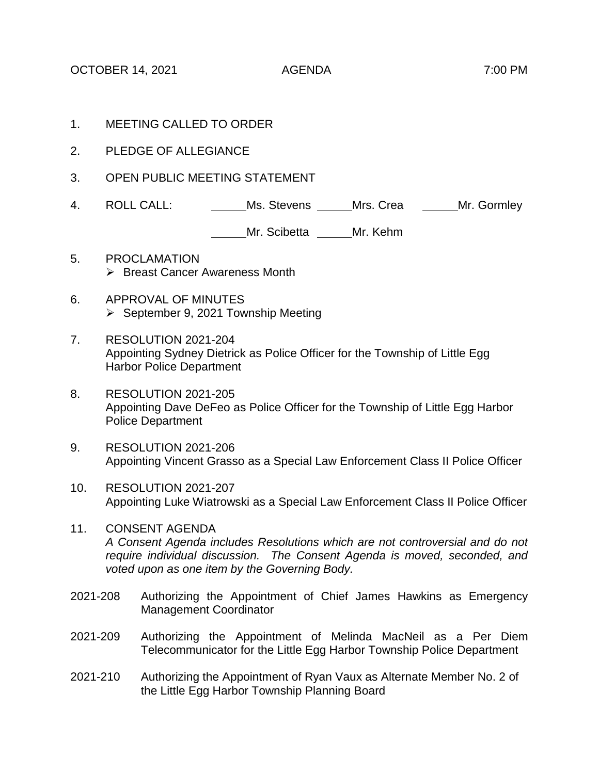OCTOBER 14, 2021 AGENDA 7:00 PM

- 1. MEETING CALLED TO ORDER
- 2. PLEDGE OF ALLEGIANCE
- 3. OPEN PUBLIC MEETING STATEMENT
- 4. ROLL CALL: Ms. Stevens Mrs. Crea Mr. Gormley

Mr. Scibetta Mr. Kehm

- 5. PROCLAMATION  $\triangleright$  Breast Cancer Awareness Month
- 6. APPROVAL OF MINUTES  $\triangleright$  September 9, 2021 Township Meeting
- 7. RESOLUTION 2021-204 Appointing Sydney Dietrick as Police Officer for the Township of Little Egg Harbor Police Department
- 8. RESOLUTION 2021-205 Appointing Dave DeFeo as Police Officer for the Township of Little Egg Harbor Police Department
- 9. RESOLUTION 2021-206 Appointing Vincent Grasso as a Special Law Enforcement Class II Police Officer
- 10. RESOLUTION 2021-207 Appointing Luke Wiatrowski as a Special Law Enforcement Class II Police Officer
- 11. CONSENT AGENDA *A Consent Agenda includes Resolutions which are not controversial and do not require individual discussion. The Consent Agenda is moved, seconded, and voted upon as one item by the Governing Body.*
- 2021-208 Authorizing the Appointment of Chief James Hawkins as Emergency Management Coordinator
- 2021-209 Authorizing the Appointment of Melinda MacNeil as a Per Diem Telecommunicator for the Little Egg Harbor Township Police Department
- 2021-210 Authorizing the Appointment of Ryan Vaux as Alternate Member No. 2 of the Little Egg Harbor Township Planning Board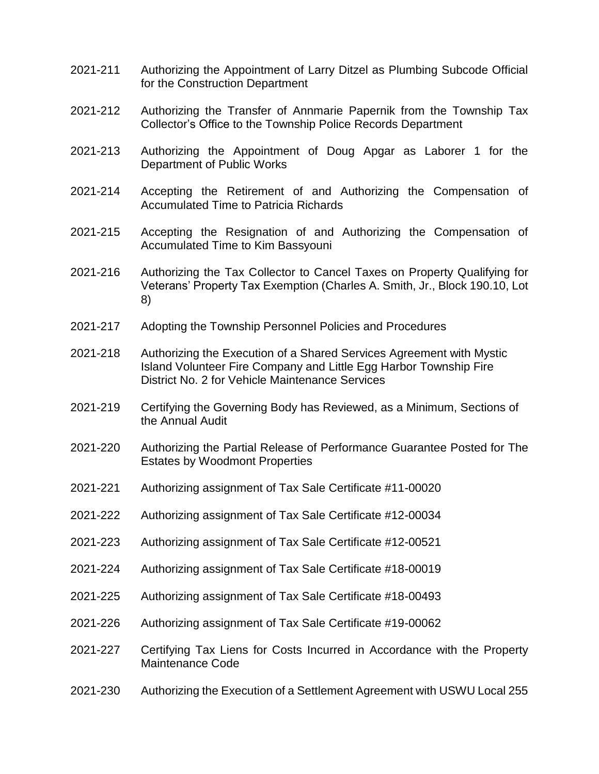- 2021-211 Authorizing the Appointment of Larry Ditzel as Plumbing Subcode Official for the Construction Department
- 2021-212 Authorizing the Transfer of Annmarie Papernik from the Township Tax Collector's Office to the Township Police Records Department
- 2021-213 Authorizing the Appointment of Doug Apgar as Laborer 1 for the Department of Public Works
- 2021-214 Accepting the Retirement of and Authorizing the Compensation of Accumulated Time to Patricia Richards
- 2021-215 Accepting the Resignation of and Authorizing the Compensation of Accumulated Time to Kim Bassyouni
- 2021-216 Authorizing the Tax Collector to Cancel Taxes on Property Qualifying for Veterans' Property Tax Exemption (Charles A. Smith, Jr., Block 190.10, Lot 8)
- 2021-217 Adopting the Township Personnel Policies and Procedures
- 2021-218 Authorizing the Execution of a Shared Services Agreement with Mystic Island Volunteer Fire Company and Little Egg Harbor Township Fire District No. 2 for Vehicle Maintenance Services
- 2021-219 Certifying the Governing Body has Reviewed, as a Minimum, Sections of the Annual Audit
- 2021-220 Authorizing the Partial Release of Performance Guarantee Posted for The Estates by Woodmont Properties
- 2021-221 Authorizing assignment of Tax Sale Certificate #11-00020
- 2021-222 Authorizing assignment of Tax Sale Certificate #12-00034
- 2021-223 Authorizing assignment of Tax Sale Certificate #12-00521
- 2021-224 Authorizing assignment of Tax Sale Certificate #18-00019
- 2021-225 Authorizing assignment of Tax Sale Certificate #18-00493
- 2021-226 Authorizing assignment of Tax Sale Certificate #19-00062
- 2021-227 Certifying Tax Liens for Costs Incurred in Accordance with the Property Maintenance Code
- 2021-230 Authorizing the Execution of a Settlement Agreement with USWU Local 255